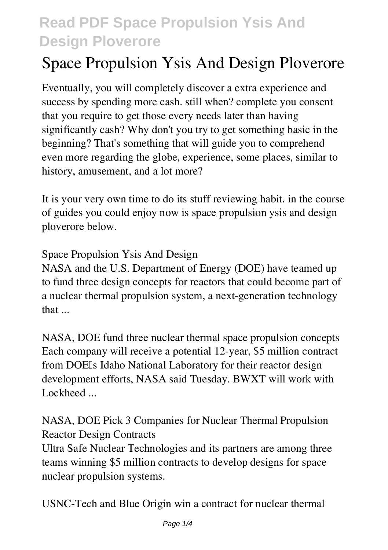# **Space Propulsion Ysis And Design Ploverore**

Eventually, you will completely discover a extra experience and success by spending more cash. still when? complete you consent that you require to get those every needs later than having significantly cash? Why don't you try to get something basic in the beginning? That's something that will guide you to comprehend even more regarding the globe, experience, some places, similar to history, amusement, and a lot more?

It is your very own time to do its stuff reviewing habit. in the course of guides you could enjoy now is **space propulsion ysis and design ploverore** below.

#### *Space Propulsion Ysis And Design*

NASA and the U.S. Department of Energy (DOE) have teamed up to fund three design concepts for reactors that could become part of a nuclear thermal propulsion system, a next-generation technology that ...

*NASA, DOE fund three nuclear thermal space propulsion concepts* Each company will receive a potential 12-year, \$5 million contract from DOE<sub>Is</sub> Idaho National Laboratory for their reactor design development efforts, NASA said Tuesday. BWXT will work with Lockheed ...

*NASA, DOE Pick 3 Companies for Nuclear Thermal Propulsion Reactor Design Contracts*

Ultra Safe Nuclear Technologies and its partners are among three teams winning \$5 million contracts to develop designs for space nuclear propulsion systems.

*USNC-Tech and Blue Origin win a contract for nuclear thermal*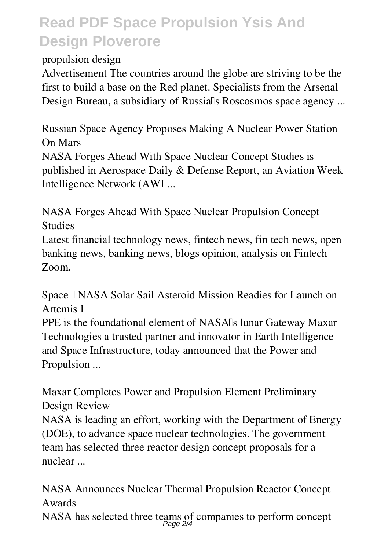*propulsion design*

Advertisement The countries around the globe are striving to be the first to build a base on the Red planet. Specialists from the Arsenal Design Bureau, a subsidiary of Russialls Roscosmos space agency ...

*Russian Space Agency Proposes Making A Nuclear Power Station On Mars* NASA Forges Ahead With Space Nuclear Concept Studies is published in Aerospace Daily & Defense Report, an Aviation Week

Intelligence Network (AWI ...

*NASA Forges Ahead With Space Nuclear Propulsion Concept Studies*

Latest financial technology news, fintech news, fin tech news, open banking news, banking news, blogs opinion, analysis on Fintech Zoom.

*Space – NASA Solar Sail Asteroid Mission Readies for Launch on Artemis I*

PPE is the foundational element of NASA<sup>I</sup>s lunar Gateway Maxar Technologies a trusted partner and innovator in Earth Intelligence and Space Infrastructure, today announced that the Power and Propulsion ...

*Maxar Completes Power and Propulsion Element Preliminary Design Review*

NASA is leading an effort, working with the Department of Energy (DOE), to advance space nuclear technologies. The government team has selected three reactor design concept proposals for a nuclear ...

*NASA Announces Nuclear Thermal Propulsion Reactor Concept Awards*

NASA has selected three teams of companies to perform concept Page 2/4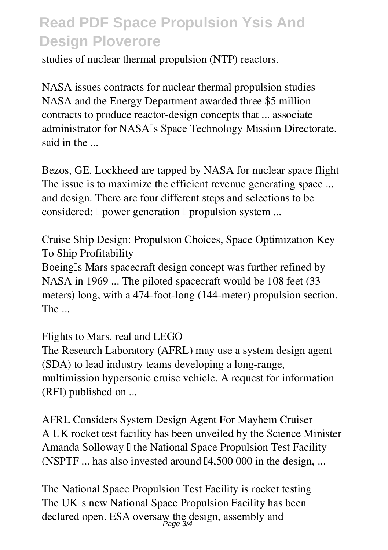studies of nuclear thermal propulsion (NTP) reactors.

*NASA issues contracts for nuclear thermal propulsion studies* NASA and the Energy Department awarded three \$5 million contracts to produce reactor-design concepts that ... associate administrator for NASA<sup>I</sup>s Space Technology Mission Directorate, said in the ...

*Bezos, GE, Lockheed are tapped by NASA for nuclear space flight* The issue is to maximize the efficient revenue generating space ... and design. There are four different steps and selections to be considered:  $\Box$  power generation  $\Box$  propulsion system ...

*Cruise Ship Design: Propulsion Choices, Space Optimization Key To Ship Profitability* Boeinglls Mars spacecraft design concept was further refined by NASA in 1969 ... The piloted spacecraft would be 108 feet (33 meters) long, with a 474-foot-long (144-meter) propulsion section. The ...

*Flights to Mars, real and LEGO*

The Research Laboratory (AFRL) may use a system design agent (SDA) to lead industry teams developing a long-range, multimission hypersonic cruise vehicle. A request for information (RFI) published on ...

*AFRL Considers System Design Agent For Mayhem Cruiser* A UK rocket test facility has been unveiled by the Science Minister Amanda Solloway I the National Space Propulsion Test Facility (NSPTF  $\ldots$  has also invested around [14,500 000 in the design,  $\ldots$ )

*The National Space Propulsion Test Facility is rocket testing* The UKIs new National Space Propulsion Facility has been declared open. ESA oversaw the design, assembly and Page 3/4